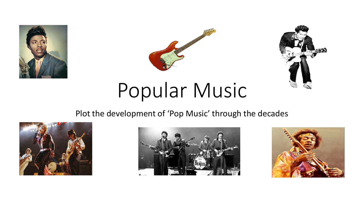





# Popular Music

#### Plot the development of 'Pop Music' through the decades





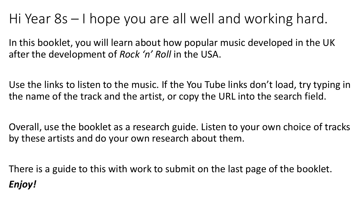## Hi Year 8s – I hope you are all well and working hard.

In this booklet, you will learn about how popular music developed in the UK after the development of *Rock 'n' Roll* in the USA.

Use the links to listen to the music. If the You Tube links don't load, try typing in the name of the track and the artist, or copy the URL into the search field.

Overall, use the booklet as a research guide. Listen to your own choice of tracks by these artists and do your own research about them.

There is a guide to this with work to submit on the last page of the booklet. *Enjoy!*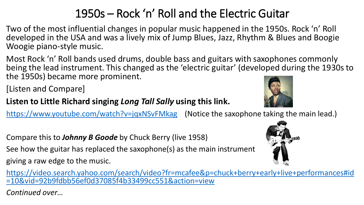### 1950s – Rock 'n' Roll and the Electric Guitar

Two of the most influential changes in popular music happened in the 1950s. Rock 'n' Roll developed in the USA and was a lively mix of Jump Blues, Jazz, Rhythm & Blues and Boogie Woogie piano-style music.

Most Rock 'n' Roll bands used drums, double bass and guitars with saxophones commonly being the lead instrument. This changed as the 'electric guitar' (developed during the 1930s to the 1950s) became more prominent.

[Listen and Compare]

#### **Listen to Little Richard singing** *Long Tall Sally* **using this link.**

<https://www.youtube.com/watch?v=jqxNSvFMkag> (Notice the saxophone taking the main lead.)

Compare this to *Johnny B Goode* by Chuck Berry (live 1958)

See how the guitar has replaced the saxophone(s) as the main instrument

giving a raw edge to the music.

[https://video.search.yahoo.com/search/video?fr=mcafee&p=chuck+berry+early+live+performances#id](https://video.search.yahoo.com/search/video?fr=mcafee&p=chuck+berry+early+live+performances#id=10&vid=92b9fdbb56ef0d37085f4b33499cc551&action=view) =10&vid=92b9fdbb56ef0d37085f4b33499cc551&action=view

*Continued over…*



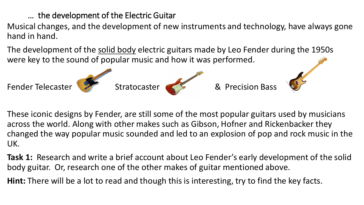… the development of the Electric Guitar

Musical changes, and the development of new instruments and technology, have always gone hand in hand.

The development of the solid body electric guitars made by Leo Fender during the 1950s were key to the sound of popular music and how it was performed.



These iconic designs by Fender, are still some of the most popular guitars used by musicians across the world. Along with other makes such as Gibson, Hofner and Rickenbacker they changed the way popular music sounded and led to an explosion of pop and rock music in the UK.

**Task 1:** Research and write a brief account about Leo Fender's early development of the solid body guitar. Or, research one of the other makes of guitar mentioned above.

**Hint:** There will be a lot to read and though this is interesting, try to find the key facts.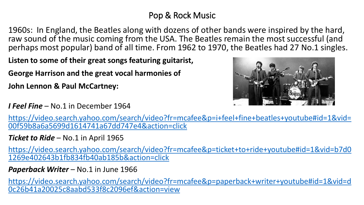#### Pop & Rock Music

1960s: In England, the Beatles along with dozens of other bands were inspired by the hard, raw sound of the music coming from the USA. The Beatles remain the most successful (and perhaps most popular) band of all time. From 1962 to 1970, the Beatles had 27 No.1 singles.

**Listen to some of their great songs featuring guitarist,** 

**George Harrison and the great vocal harmonies of** 

**John Lennon & Paul McCartney:**

*I Feel Fine* – No.1 in December 1964



[https://video.search.yahoo.com/search/video?fr=mcafee&p=i+feel+fine+beatles+youtube#id=1&vid=](https://video.search.yahoo.com/search/video?fr=mcafee&p=i+feel+fine+beatles+youtube#id=1&vid=00f59b8a6a5699d1614741a67dd747e4&action=click) 00f59b8a6a5699d1614741a67dd747e4&action=click

*Ticket to Ride* – No.1 in April 1965

[https://video.search.yahoo.com/search/video?fr=mcafee&p=ticket+to+ride+youtube#id=1&vid=b7d0](https://video.search.yahoo.com/search/video?fr=mcafee&p=ticket+to+ride+youtube#id=1&vid=b7d01269e402643b1fb834fb40ab185b&action=click) 1269e402643b1fb834fb40ab185b&action=click

Paperback Writer – No.1 in June 1966

[https://video.search.yahoo.com/search/video?fr=mcafee&p=paperback+writer+youtube#id=1&vid=d](https://video.search.yahoo.com/search/video?fr=mcafee&p=paperback+writer+youtube#id=1&vid=d0c26b41a20025c8aabd533f8c2096ef&action=view) 0c26b41a20025c8aabd533f8c2096ef&action=view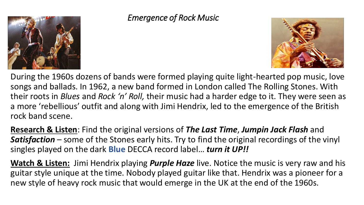

#### *Emergence of Rock Music*



During the 1960s dozens of bands were formed playing quite light-hearted pop music, love songs and ballads. In 1962, a new band formed in London called The Rolling Stones. With their roots in *Blues* and *Rock 'n' Roll,* their music had a harder edge to it. They were seen as a more 'rebellious' outfit and along with Jimi Hendrix, led to the emergence of the British rock band scene.

**Research & Listen**: Find the original versions of *The Last Time*, *Jumpin Jack Flash* and *Satisfaction* – some of the Stones early hits. Try to find the original recordings of the vinyl singles played on the dark **Blue** DECCA record label… *turn it UP!!*

**Watch & Listen:** Jimi Hendrix playing *Purple Haze* live. Notice the music is very raw and his guitar style unique at the time. Nobody played guitar like that. Hendrix was a pioneer for a new style of heavy rock music that would emerge in the UK at the end of the 1960s.